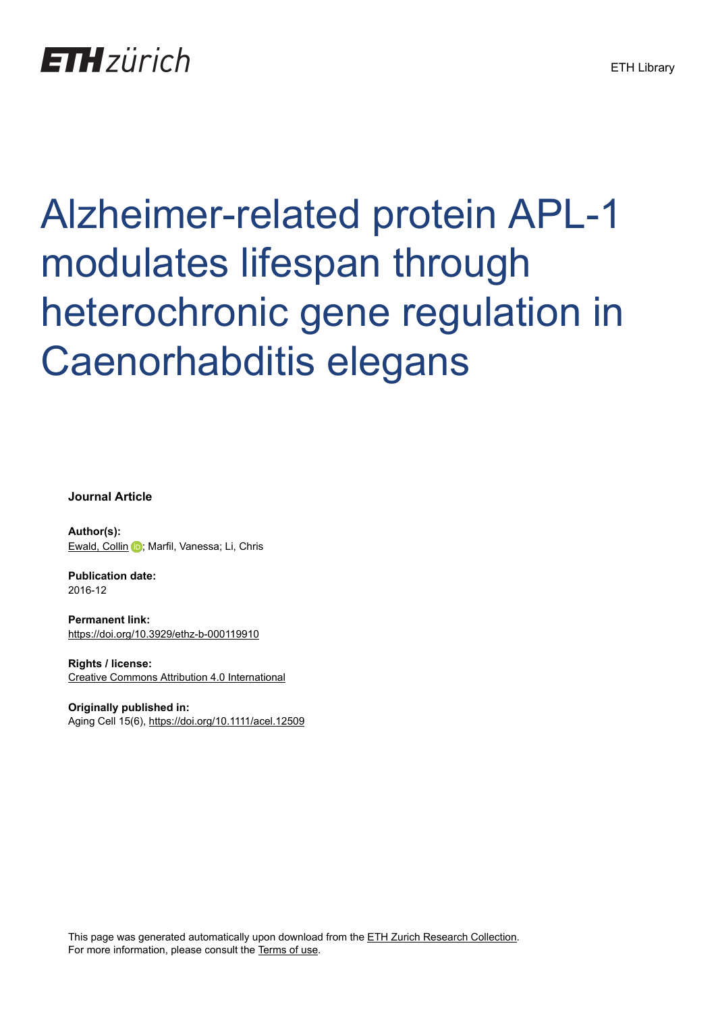## **ETH** zürich

# Alzheimer-related protein APL-1 modulates lifespan through heterochronic gene regulation in Caenorhabditis elegans

**Journal Article**

**Author(s):** [Ewald, Collin](https://orcid.org/0000-0003-1166-4171) D; Marfil, Vanessa; Li, Chris

**Publication date:** 2016-12

**Permanent link:** <https://doi.org/10.3929/ethz-b-000119910>

**Rights / license:** [Creative Commons Attribution 4.0 International](http://creativecommons.org/licenses/by/4.0/)

**Originally published in:** Aging Cell 15(6), <https://doi.org/10.1111/acel.12509>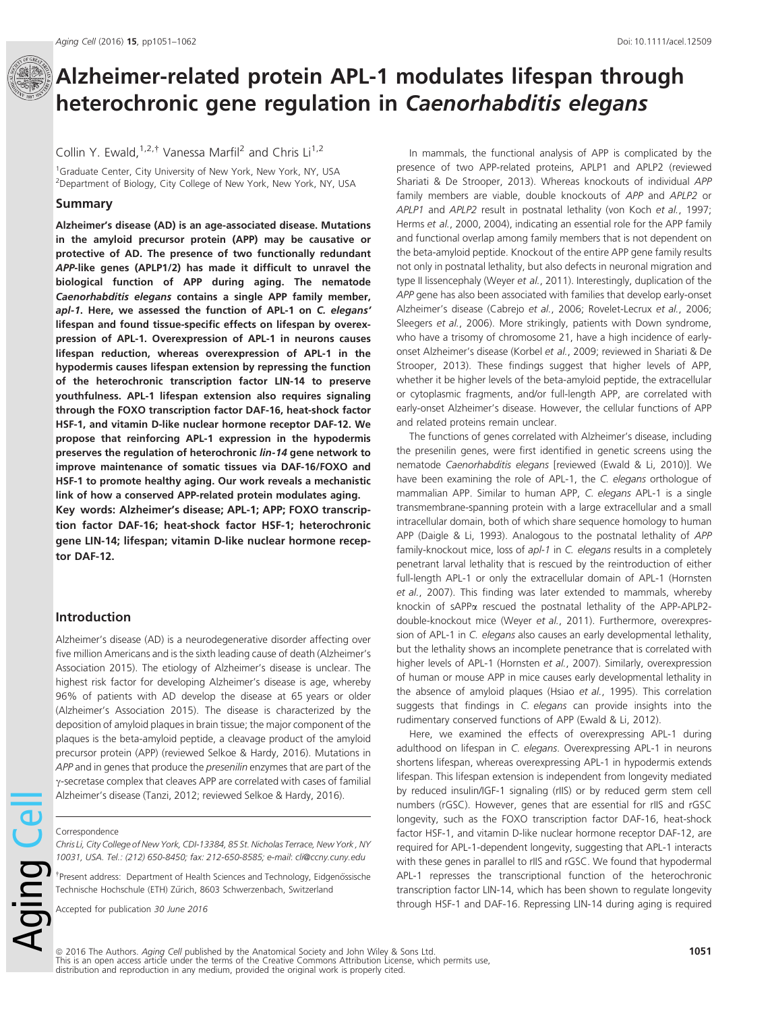### Alzheimer-related protein APL-1 modulates lifespan through heterochronic gene regulation in Caenorhabditis elegans

Collin Y. Ewald,  $1,2,1$ <sup>†</sup> Vanessa Marfil<sup>2</sup> and Chris Li<sup>1,2</sup>

<sup>1</sup>Graduate Center, City University of New York, New York, NY, USA <sup>2</sup>Department of Biology, City College of New York, New York, NY, USA

#### Summary

Alzheimer's disease (AD) is an age-associated disease. Mutations in the amyloid precursor protein (APP) may be causative or protective of AD. The presence of two functionally redundant APP-like genes (APLP1/2) has made it difficult to unravel the biological function of APP during aging. The nematode Caenorhabditis elegans contains a single APP family member, apl-1. Here, we assessed the function of APL-1 on C. elegans' lifespan and found tissue-specific effects on lifespan by overexpression of APL-1. Overexpression of APL-1 in neurons causes lifespan reduction, whereas overexpression of APL-1 in the hypodermis causes lifespan extension by repressing the function of the heterochronic transcription factor LIN-14 to preserve youthfulness. APL-1 lifespan extension also requires signaling through the FOXO transcription factor DAF-16, heat-shock factor HSF-1, and vitamin D-like nuclear hormone receptor DAF-12. We propose that reinforcing APL-1 expression in the hypodermis preserves the regulation of heterochronic lin-14 gene network to improve maintenance of somatic tissues via DAF-16/FOXO and HSF-1 to promote healthy aging. Our work reveals a mechanistic link of how a conserved APP-related protein modulates aging.

Key words: Alzheimer's disease; APL-1; APP; FOXO transcription factor DAF-16; heat-shock factor HSF-1; heterochronic gene LIN-14; lifespan; vitamin D-like nuclear hormone receptor DAF-12.

#### Introduction

Alzheimer's disease (AD) is a neurodegenerative disorder affecting over five million Americans and is the sixth leading cause of death (Alzheimer's Association 2015). The etiology of Alzheimer's disease is unclear. The highest risk factor for developing Alzheimer's disease is age, whereby 96% of patients with AD develop the disease at 65 years or older (Alzheimer's Association 2015). The disease is characterized by the deposition of amyloid plaques in brain tissue; the major component of the plaques is the beta-amyloid peptide, a cleavage product of the amyloid precursor protein (APP) (reviewed Selkoe & Hardy, 2016). Mutations in APP and in genes that produce the presenilin enzymes that are part of the  $\gamma$ -secretase complex that cleaves APP are correlated with cases of familial Alzheimer's disease (Tanzi, 2012; reviewed Selkoe & Hardy, 2016).

#### Correspondence

Aging Ce

Chris Li, City College of New York, CDI-13384, 85 St. Nicholas Terrace, New York , NY 10031, USA. Tel.: (212) 650-8450; fax: 212-650-8585; e-mail: cli@ccny.cuny.edu

<sup>†</sup> Present address: Department of Health Sciences and Technology, Eidgenössische Technische Hochschule (ETH) Zürich, 8603 Schwerzenbach, Switzerland

Accepted for publication 30 June 2016

In mammals, the functional analysis of APP is complicated by the presence of two APP-related proteins, APLP1 and APLP2 (reviewed Shariati & De Strooper, 2013). Whereas knockouts of individual APP family members are viable, double knockouts of APP and APLP2 or APLP1 and APLP2 result in postnatal lethality (von Koch et al., 1997; Herms et al., 2000, 2004), indicating an essential role for the APP family and functional overlap among family members that is not dependent on the beta-amyloid peptide. Knockout of the entire APP gene family results not only in postnatal lethality, but also defects in neuronal migration and type II lissencephaly (Weyer et al., 2011). Interestingly, duplication of the APP gene has also been associated with families that develop early-onset Alzheimer's disease (Cabrejo et al., 2006; Rovelet-Lecrux et al., 2006; Sleegers et al., 2006). More strikingly, patients with Down syndrome, who have a trisomy of chromosome 21, have a high incidence of earlyonset Alzheimer's disease (Korbel et al., 2009; reviewed in Shariati & De Strooper, 2013). These findings suggest that higher levels of APP, whether it be higher levels of the beta-amyloid peptide, the extracellular or cytoplasmic fragments, and/or full-length APP, are correlated with early-onset Alzheimer's disease. However, the cellular functions of APP and related proteins remain unclear.

The functions of genes correlated with Alzheimer's disease, including the presenilin genes, were first identified in genetic screens using the nematode Caenorhabditis elegans [reviewed (Ewald & Li, 2010)]. We have been examining the role of APL-1, the C. elegans orthologue of mammalian APP. Similar to human APP, C. elegans APL-1 is a single transmembrane-spanning protein with a large extracellular and a small intracellular domain, both of which share sequence homology to human APP (Daigle & Li, 1993). Analogous to the postnatal lethality of APP family-knockout mice, loss of apl-1 in C. elegans results in a completely penetrant larval lethality that is rescued by the reintroduction of either full-length APL-1 or only the extracellular domain of APL-1 (Hornsten et al., 2007). This finding was later extended to mammals, whereby knockin of sAPPa rescued the postnatal lethality of the APP-APLP2double-knockout mice (Weyer et al., 2011). Furthermore, overexpression of APL-1 in C. elegans also causes an early developmental lethality, but the lethality shows an incomplete penetrance that is correlated with higher levels of APL-1 (Hornsten et al., 2007). Similarly, overexpression of human or mouse APP in mice causes early developmental lethality in the absence of amyloid plaques (Hsiao et al., 1995). This correlation suggests that findings in C. elegans can provide insights into the rudimentary conserved functions of APP (Ewald & Li, 2012).

Here, we examined the effects of overexpressing APL-1 during adulthood on lifespan in C. elegans. Overexpressing APL-1 in neurons shortens lifespan, whereas overexpressing APL-1 in hypodermis extends lifespan. This lifespan extension is independent from longevity mediated by reduced insulin/IGF-1 signaling (rIIS) or by reduced germ stem cell numbers (rGSC). However, genes that are essential for rIIS and rGSC longevity, such as the FOXO transcription factor DAF-16, heat-shock factor HSF-1, and vitamin D-like nuclear hormone receptor DAF-12, are required for APL-1-dependent longevity, suggesting that APL-1 interacts with these genes in parallel to rIIS and rGSC. We found that hypodermal APL-1 represses the transcriptional function of the heterochronic transcription factor LIN-14, which has been shown to regulate longevity through HSF-1 and DAF-16. Repressing LIN-14 during aging is required

© 2016 The Authors. *Aging Cell pu*blished by the Anatomical Society and John Wiley & Sons Ltd.<br>This is an open access article under the terms of the [Creative Commons Attribution](http://creativecommons.org/licenses/by/4.0/) License, which permits use, distribution and reproduction in any medium, provided the original work is properly cited.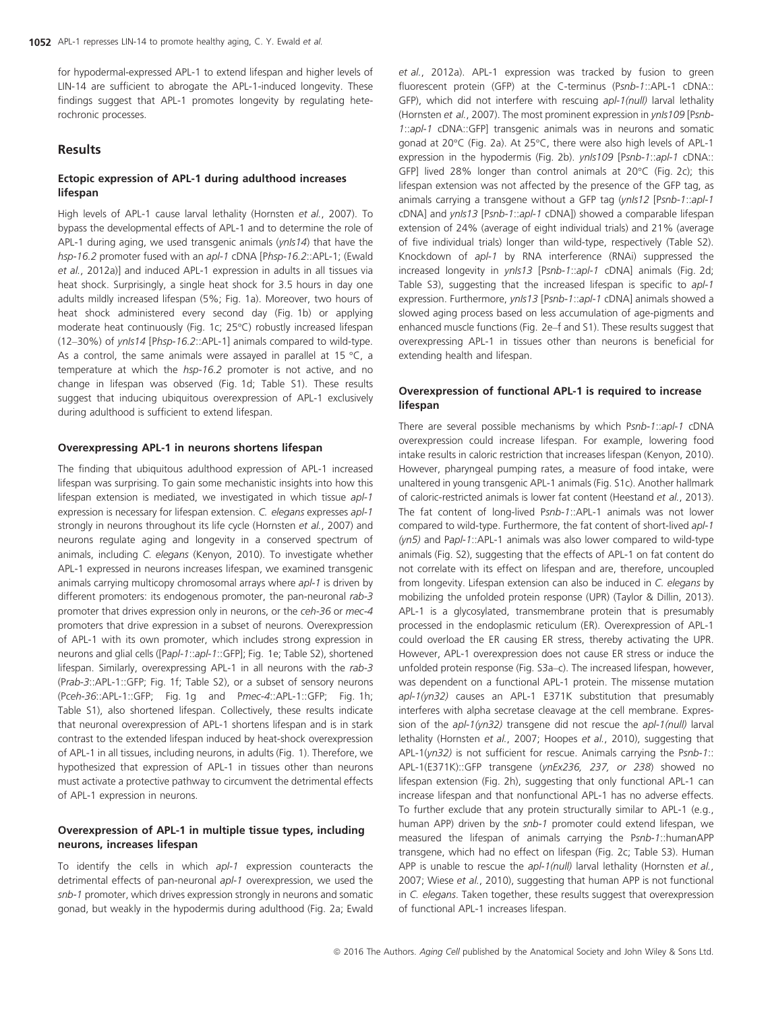for hypodermal-expressed APL-1 to extend lifespan and higher levels of LIN-14 are sufficient to abrogate the APL-1-induced longevity. These findings suggest that APL-1 promotes longevity by regulating heterochronic processes.

#### Results

#### Ectopic expression of APL-1 during adulthood increases lifespan

High levels of APL-1 cause larval lethality (Hornsten et al., 2007). To bypass the developmental effects of APL-1 and to determine the role of APL-1 during aging, we used transgenic animals ( $ynls14$ ) that have the hsp-16.2 promoter fused with an ap/-1 cDNA [Phsp-16.2::APL-1; (Ewald et al., 2012a)] and induced APL-1 expression in adults in all tissues via heat shock. Surprisingly, a single heat shock for 3.5 hours in day one adults mildly increased lifespan (5%; Fig. 1a). Moreover, two hours of heat shock administered every second day (Fig. 1b) or applying moderate heat continuously (Fig. 1c; 25°C) robustly increased lifespan (12–30%) of ynIs14 [Phsp-16.2::APL-1] animals compared to wild-type. As a control, the same animals were assayed in parallel at 15  $^{\circ}$ C, a temperature at which the hsp-16.2 promoter is not active, and no change in lifespan was observed (Fig. 1d; Table S1). These results suggest that inducing ubiquitous overexpression of APL-1 exclusively during adulthood is sufficient to extend lifespan.

#### Overexpressing APL-1 in neurons shortens lifespan

The finding that ubiquitous adulthood expression of APL-1 increased lifespan was surprising. To gain some mechanistic insights into how this lifespan extension is mediated, we investigated in which tissue apl-1 expression is necessary for lifespan extension. C. elegans expresses apl-1 strongly in neurons throughout its life cycle (Hornsten et al., 2007) and neurons regulate aging and longevity in a conserved spectrum of animals, including C. elegans (Kenyon, 2010). To investigate whether APL-1 expressed in neurons increases lifespan, we examined transgenic animals carrying multicopy chromosomal arrays where apl-1 is driven by different promoters: its endogenous promoter, the pan-neuronal rab-3 promoter that drives expression only in neurons, or the ceh-36 or mec-4 promoters that drive expression in a subset of neurons. Overexpression of APL-1 with its own promoter, which includes strong expression in neurons and glial cells ([Papl-1::apl-1::GFP]; Fig. 1e; Table S2), shortened lifespan. Similarly, overexpressing APL-1 in all neurons with the rab-3 (Prab-3::APL-1::GFP; Fig. 1f; Table S2), or a subset of sensory neurons (Pceh-36::APL-1::GFP; Fig. 1g and Pmec-4::APL-1::GFP; Fig. 1h; Table S1), also shortened lifespan. Collectively, these results indicate that neuronal overexpression of APL-1 shortens lifespan and is in stark contrast to the extended lifespan induced by heat-shock overexpression of APL-1 in all tissues, including neurons, in adults (Fig. 1). Therefore, we hypothesized that expression of APL-1 in tissues other than neurons must activate a protective pathway to circumvent the detrimental effects of APL-1 expression in neurons.

#### Overexpression of APL-1 in multiple tissue types, including neurons, increases lifespan

To identify the cells in which apl-1 expression counteracts the detrimental effects of pan-neuronal apl-1 overexpression, we used the snb-1 promoter, which drives expression strongly in neurons and somatic gonad, but weakly in the hypodermis during adulthood (Fig. 2a; Ewald et al., 2012a). APL-1 expression was tracked by fusion to green fluorescent protein (GFP) at the C-terminus (Psnb-1::APL-1 cDNA:: GFP), which did not interfere with rescuing apl-1(null) larval lethality (Hornsten et al., 2007). The most prominent expression in ynls109 [Psnb-1::apl-1 cDNA::GFP] transgenic animals was in neurons and somatic gonad at 20°C (Fig. 2a). At 25°C, there were also high levels of APL-1 expression in the hypodermis (Fig. 2b). ynIs109 [Psnb-1::apl-1 cDNA:: GFP] lived 28% longer than control animals at 20°C (Fig. 2c); this lifespan extension was not affected by the presence of the GFP tag, as animals carrying a transgene without a GFP tag (ynls12 [Psnb-1::apl-1 cDNA] and ynIs13 [Psnb-1::apl-1 cDNA]) showed a comparable lifespan extension of 24% (average of eight individual trials) and 21% (average of five individual trials) longer than wild-type, respectively (Table S2). Knockdown of apl-1 by RNA interference (RNAi) suppressed the increased longevity in *ynls13* [Psnb-1::apl-1 cDNA] animals (Fig. 2d; Table S3), suggesting that the increased lifespan is specific to apl-1 expression. Furthermore, ynls13 [Psnb-1::apl-1 cDNA] animals showed a slowed aging process based on less accumulation of age-pigments and enhanced muscle functions (Fig. 2e–f and S1). These results suggest that overexpressing APL-1 in tissues other than neurons is beneficial for extending health and lifespan.

#### Overexpression of functional APL-1 is required to increase lifespan

There are several possible mechanisms by which Psnb-1::apl-1 cDNA overexpression could increase lifespan. For example, lowering food intake results in caloric restriction that increases lifespan (Kenyon, 2010). However, pharyngeal pumping rates, a measure of food intake, were unaltered in young transgenic APL-1 animals (Fig. S1c). Another hallmark of caloric-restricted animals is lower fat content (Heestand et al., 2013). The fat content of long-lived Psnb-1::APL-1 animals was not lower compared to wild-type. Furthermore, the fat content of short-lived apl-1  $(yn5)$  and Papl-1::APL-1 animals was also lower compared to wild-type animals (Fig. S2), suggesting that the effects of APL-1 on fat content do not correlate with its effect on lifespan and are, therefore, uncoupled from longevity. Lifespan extension can also be induced in C. elegans by mobilizing the unfolded protein response (UPR) (Taylor & Dillin, 2013). APL-1 is a glycosylated, transmembrane protein that is presumably processed in the endoplasmic reticulum (ER). Overexpression of APL-1 could overload the ER causing ER stress, thereby activating the UPR. However, APL-1 overexpression does not cause ER stress or induce the unfolded protein response (Fig. S3a–c). The increased lifespan, however, was dependent on a functional APL-1 protein. The missense mutation apl-1(yn32) causes an APL-1 E371K substitution that presumably interferes with alpha secretase cleavage at the cell membrane. Expression of the apl-1(yn32) transgene did not rescue the apl-1(null) larval lethality (Hornsten et al., 2007; Hoopes et al., 2010), suggesting that APL-1(yn32) is not sufficient for rescue. Animals carrying the Psnb-1:: APL-1(E371K)::GFP transgene (ynEx236, 237, or 238) showed no lifespan extension (Fig. 2h), suggesting that only functional APL-1 can increase lifespan and that nonfunctional APL-1 has no adverse effects. To further exclude that any protein structurally similar to APL-1 (e.g., human APP) driven by the snb-1 promoter could extend lifespan, we measured the lifespan of animals carrying the Psnb-1::humanAPP transgene, which had no effect on lifespan (Fig. 2c; Table S3). Human APP is unable to rescue the apl-1(null) larval lethality (Hornsten et al., 2007; Wiese et al., 2010), suggesting that human APP is not functional in C. elegans. Taken together, these results suggest that overexpression of functional APL-1 increases lifespan.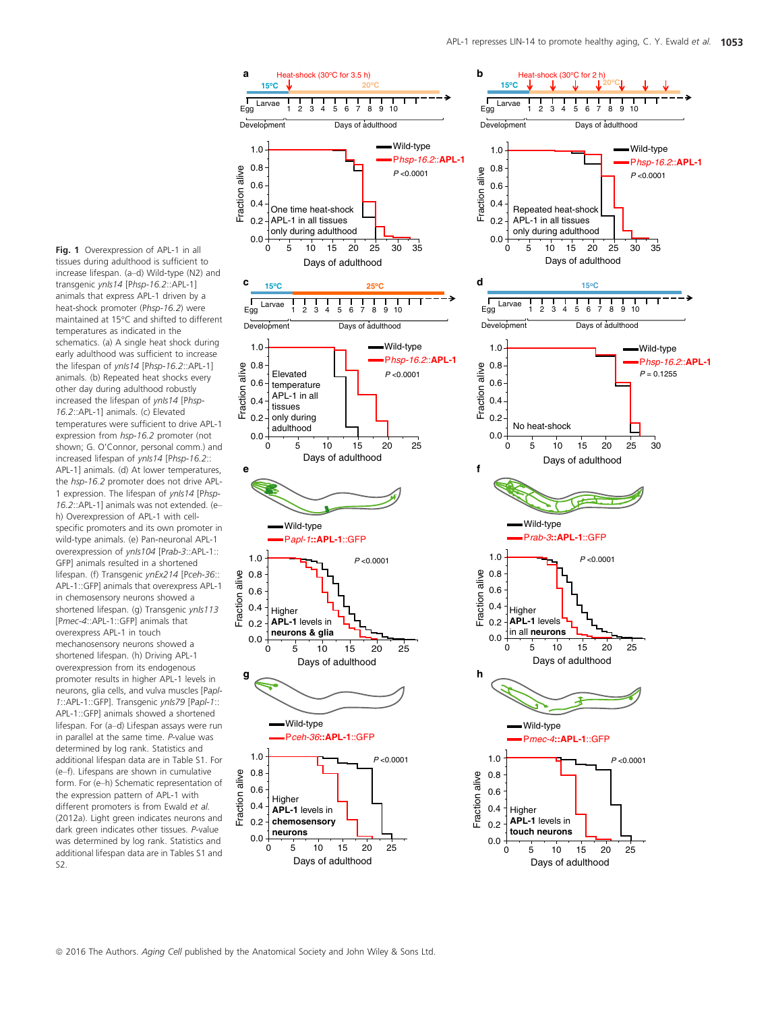Fig. 1 Overexpression of APL-1 in all tissues during adulthood is sufficient to increase lifespan. (a–d) Wild-type (N2) and transgenic ynIs14 [Phsp-16.2::APL-1] animals that express APL-1 driven by a heat-shock promoter (Phsp-16.2) were maintained at 15°C and shifted to different temperatures as indicated in the schematics. (a) A single heat shock during early adulthood was sufficient to increase the lifespan of ynIs14 [Phsp-16.2::APL-1] animals. (b) Repeated heat shocks every other day during adulthood robustly increased the lifespan of ynIs14 [Phsp-16.2::APL-1] animals. (c) Elevated temperatures were sufficient to drive APL-1 expression from hsp-16.2 promoter (not shown; G. O'Connor, personal comm.) and increased lifespan of ynIs14 [Phsp-16.2:: APL-1] animals. (d) At lower temperatures, the hsp-16.2 promoter does not drive APL-1 expression. The lifespan of ynIs14 [Phsp-16.2::APL-1] animals was not extended. (e– h) Overexpression of APL-1 with cellspecific promoters and its own promoter in wild-type animals. (e) Pan-neuronal APL-1 overexpression of ynIs104 [Prab-3::APL-1:: GFP] animals resulted in a shortened lifespan. (f) Transgenic ynEx214 [Pceh-36:: APL-1::GFP] animals that overexpress APL-1 in chemosensory neurons showed a shortened lifespan. (g) Transgenic ynIs113 [Pmec-4::APL-1::GFP] animals that overexpress APL-1 in touch mechanosensory neurons showed a shortened lifespan. (h) Driving APL-1 overexpression from its endogenous promoter results in higher APL-1 levels in neurons, glia cells, and vulva muscles [Papl-1::APL-1::GFP]. Transgenic ynIs79 [Papl-1:: APL-1::GFP] animals showed a shortened lifespan. For (a–d) Lifespan assays were run in parallel at the same time. P-value was determined by log rank. Statistics and additional lifespan data are in Table S1. For (e–f). Lifespans are shown in cumulative form. For (e–h) Schematic representation of the expression pattern of APL-1 with different promoters is from Ewald et al. (2012a). Light green indicates neurons and dark green indicates other tissues. P-value was determined by log rank. Statistics and additional lifespan data are in Tables S1 and S2.

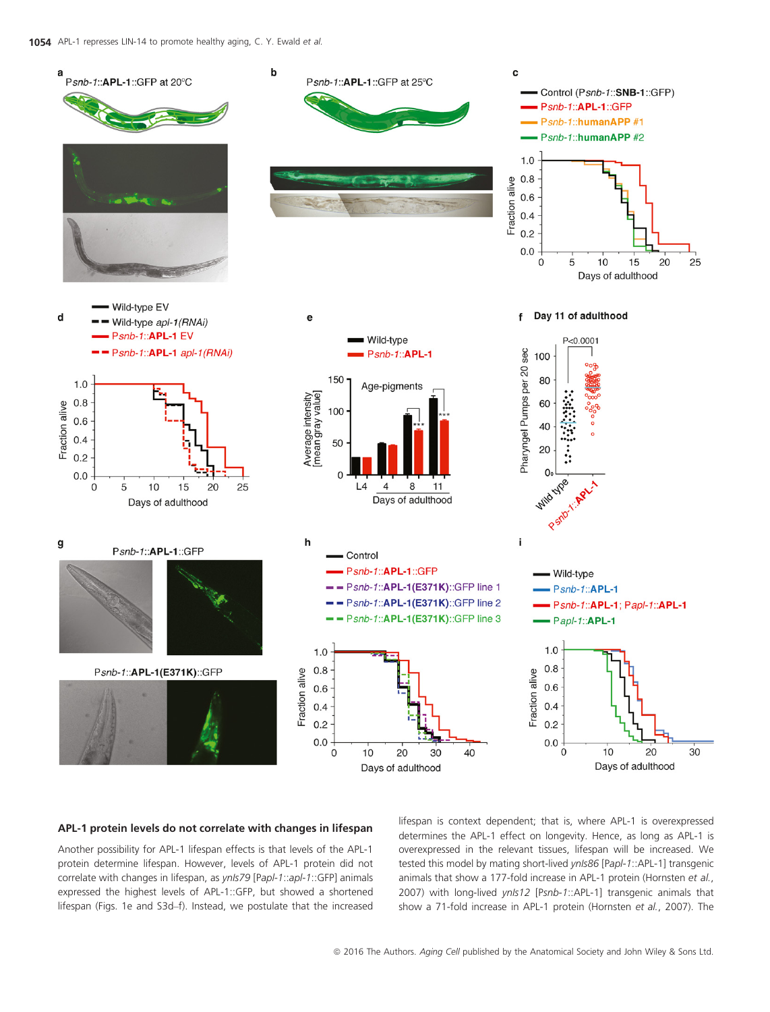

#### APL-1 protein levels do not correlate with changes in lifespan

Another possibility for APL-1 lifespan effects is that levels of the APL-1 protein determine lifespan. However, levels of APL-1 protein did not correlate with changes in lifespan, as ynls79 [Papl-1::apl-1::GFP] animals expressed the highest levels of APL-1::GFP, but showed a shortened lifespan (Figs. 1e and S3d–f). Instead, we postulate that the increased lifespan is context dependent; that is, where APL-1 is overexpressed determines the APL-1 effect on longevity. Hence, as long as APL-1 is overexpressed in the relevant tissues, lifespan will be increased. We tested this model by mating short-lived ynIs86 [Papl-1::APL-1] transgenic animals that show a 177-fold increase in APL-1 protein (Hornsten et al., 2007) with long-lived ynIs12 [Psnb-1::APL-1] transgenic animals that show a 71-fold increase in APL-1 protein (Hornsten et al., 2007). The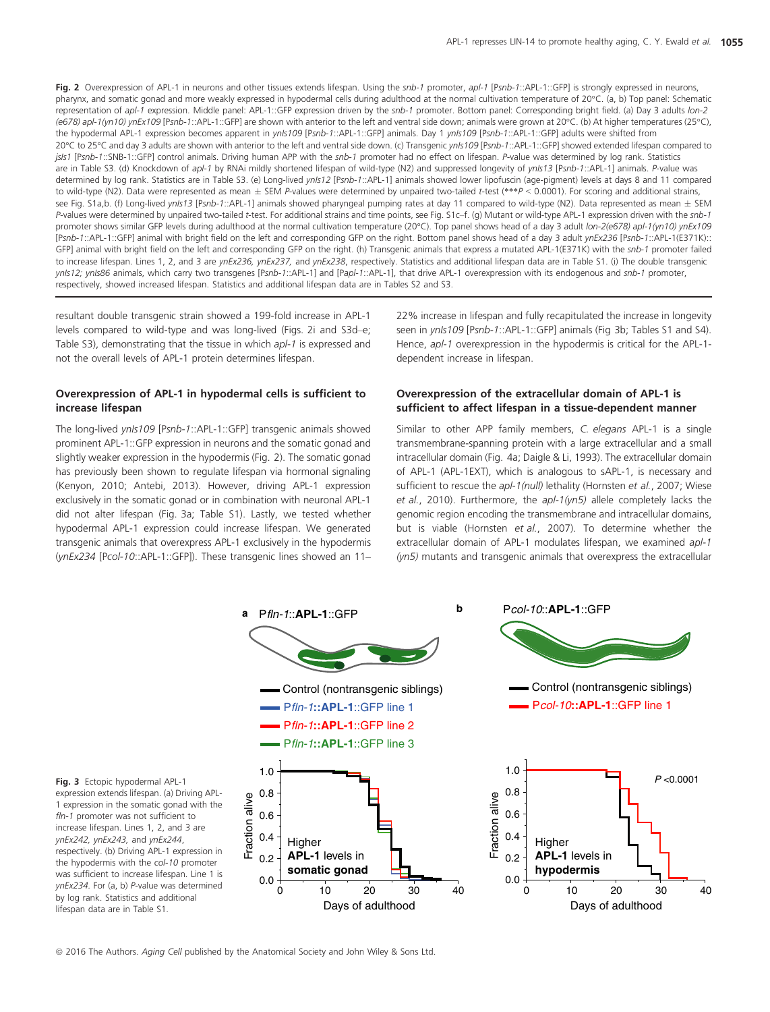Fig. 2 Overexpression of APL-1 in neurons and other tissues extends lifespan. Using the snb-1 promoter, apl-1 [Psnb-1::APL-1::GFP] is strongly expressed in neurons, pharynx, and somatic gonad and more weakly expressed in hypodermal cells during adulthood at the normal cultivation temperature of 20°C. (a, b) Top panel: Schematic representation of apl-1 expression. Middle panel: APL-1::GFP expression driven by the snb-1 promoter. Bottom panel: Corresponding bright field. (a) Day 3 adults lon-2 (e678) apl-1(yn10) ynEx109 [Psnb-1::APL-1::GFP] are shown with anterior to the left and ventral side down; animals were grown at 20°C. (b) At higher temperatures (25°C), the hypodermal APL-1 expression becomes apparent in ynIs109 [Psnb-1::APL-1::GFP] animals. Day 1 ynIs109 [Psnb-1::APL-1::GFP] adults were shifted from 20°C to 25°C and day 3 adults are shown with anterior to the left and ventral side down. (c) Transgenic yn/s109 [Psnb-1::APL-1::GFP] showed extended lifespan compared to jsIs1 [Psnb-1::SNB-1::GFP] control animals. Driving human APP with the snb-1 promoter had no effect on lifespan. P-value was determined by log rank. Statistics are in Table S3. (d) Knockdown of apl-1 by RNAi mildly shortened lifespan of wild-type (N2) and suppressed longevity of ynIs13 [Psnb-1::APL-1] animals. P-value was determined by log rank. Statistics are in Table S3. (e) Long-lived yn/s12 [Psnb-1::APL-1] animals showed lower lipofuscin (age-pigment) levels at days 8 and 11 compared to wild-type (N2). Data were represented as mean  $\pm$  SEM P-values were determined by unpaired two-tailed t-test (\*\*\*P < 0.0001). For scoring and additional strains, see Fig. S1a,b. (f) Long-lived yn/s13 [Psnb-1::APL-1] animals showed pharyngeal pumping rates at day 11 compared to wild-type (N2). Data represented as mean  $\pm$  SEM P-values were determined by unpaired two-tailed t-test. For additional strains and time points, see Fig. S1c-f. (g) Mutant or wild-type APL-1 expression driven with the snb-1 promoter shows similar GFP levels during adulthood at the normal cultivation temperature (20°C). Top panel shows head of a day 3 adult lon-2(e678) apl-1(yn10) ynEx109 [Psnb-1::APL-1::GFP] animal with bright field on the left and corresponding GFP on the right. Bottom panel shows head of a day 3 adult ynEx236 [Psnb-1::APL-1(E371K):: GFP] animal with bright field on the left and corresponding GFP on the right. (h) Transgenic animals that express a mutated APL-1(E371K) with the snb-1 promoter failed to increase lifespan. Lines 1, 2, and 3 are ynEx236, ynEx237, and ynEx238, respectively. Statistics and additional lifespan data are in Table S1. (i) The double transgenic ynIs12; ynIs86 animals, which carry two transgenes [Psnb-1::APL-1] and [Papl-1::APL-1], that drive APL-1 overexpression with its endogenous and snb-1 promoter, respectively, showed increased lifespan. Statistics and additional lifespan data are in Tables S2 and S3.

resultant double transgenic strain showed a 199-fold increase in APL-1 levels compared to wild-type and was long-lived (Figs. 2i and S3d–e; Table S3), demonstrating that the tissue in which apl-1 is expressed and not the overall levels of APL-1 protein determines lifespan.

#### Overexpression of APL-1 in hypodermal cells is sufficient to increase lifespan

The long-lived yn/s109 [Psnb-1::APL-1::GFP] transgenic animals showed prominent APL-1::GFP expression in neurons and the somatic gonad and slightly weaker expression in the hypodermis (Fig. 2). The somatic gonad has previously been shown to regulate lifespan via hormonal signaling (Kenyon, 2010; Antebi, 2013). However, driving APL-1 expression exclusively in the somatic gonad or in combination with neuronal APL-1 did not alter lifespan (Fig. 3a; Table S1). Lastly, we tested whether hypodermal APL-1 expression could increase lifespan. We generated transgenic animals that overexpress APL-1 exclusively in the hypodermis (ynEx234 [Pcol-10::APL-1::GFP]). These transgenic lines showed an 11–

22% increase in lifespan and fully recapitulated the increase in longevity seen in ynIs109 [Psnb-1::APL-1::GFP] animals (Fig 3b; Tables S1 and S4). Hence, apl-1 overexpression in the hypodermis is critical for the APL-1 dependent increase in lifespan.

#### Overexpression of the extracellular domain of APL-1 is sufficient to affect lifespan in a tissue-dependent manner

Similar to other APP family members, C. elegans APL-1 is a single transmembrane-spanning protein with a large extracellular and a small intracellular domain (Fig. 4a; Daigle & Li, 1993). The extracellular domain of APL-1 (APL-1EXT), which is analogous to sAPL-1, is necessary and sufficient to rescue the apl-1(null) lethality (Hornsten et al., 2007; Wiese et al., 2010). Furthermore, the  $apl-1(\gamma n5)$  allele completely lacks the genomic region encoding the transmembrane and intracellular domains, but is viable (Hornsten et al., 2007). To determine whether the extracellular domain of APL-1 modulates lifespan, we examined apl-1 (yn5) mutants and transgenic animals that overexpress the extracellular



Fig. 3 Ectopic hypodermal APL-1 expression extends lifespan. (a) Driving APL-1 expression in the somatic gonad with the fln-1 promoter was not sufficient to increase lifespan. Lines 1, 2, and 3 are ynEx242, ynEx243, and ynEx244, respectively. (b) Driving APL-1 expression in the hypodermis with the col-10 promoter was sufficient to increase lifespan. Line 1 is ynEx234. For (a, b) P-value was determined by log rank. Statistics and additional lifespan data are in Table S1.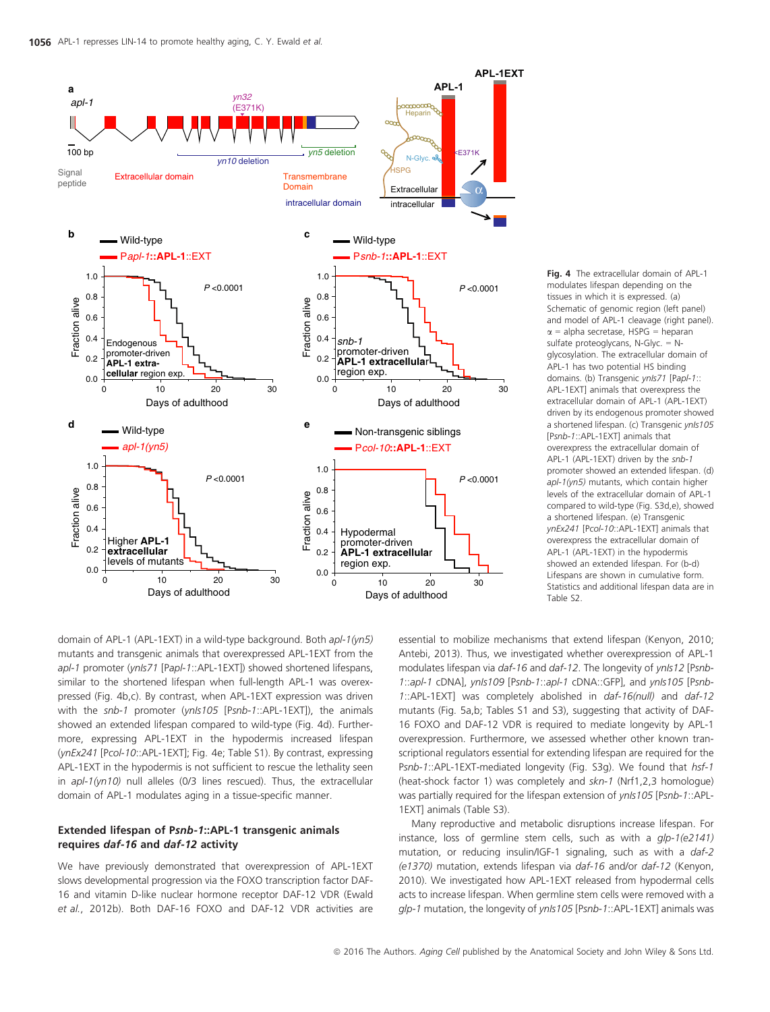

Fig. 4 The extracellular domain of APL-1 modulates lifespan depending on the tissues in which it is expressed. (a) Schematic of genomic region (left panel) and model of APL-1 cleavage (right panel).  $\alpha$  = alpha secretase, HSPG = heparan sulfate proteoglycans, N-Glyc. = Nglycosylation. The extracellular domain of APL-1 has two potential HS binding domains. (b) Transgenic vnls71 [Papl-1:: APL-1EXT] animals that overexpress the extracellular domain of APL-1 (APL-1EXT) driven by its endogenous promoter showed a shortened lifespan. (c) Transgenic ynls105 [Psnb-1::APL-1EXT] animals that overexpress the extracellular domain of APL-1 (APL-1EXT) driven by the snb-1 promoter showed an extended lifespan. (d) apl-1(yn5) mutants, which contain higher levels of the extracellular domain of APL-1 compared to wild-type (Fig. S3d,e), showed a shortened lifespan. (e) Transgenic ynEx241 [Pcol-10::APL-1EXT] animals that overexpress the extracellular domain of APL-1 (APL-1EXT) in the hypodermis showed an extended lifespan. For (b-d) Lifespans are shown in cumulative form. Statistics and additional lifespan data are in Table S2.

domain of APL-1 (APL-1EXT) in a wild-type background. Both apl-1(yn5) mutants and transgenic animals that overexpressed APL-1EXT from the apl-1 promoter (ynls71 [Papl-1::APL-1EXT]) showed shortened lifespans, similar to the shortened lifespan when full-length APL-1 was overexpressed (Fig. 4b,c). By contrast, when APL-1EXT expression was driven with the snb-1 promoter (ynIs105 [Psnb-1::APL-1EXT]), the animals showed an extended lifespan compared to wild-type (Fig. 4d). Furthermore, expressing APL-1EXT in the hypodermis increased lifespan (ynEx241 [Pcol-10::APL-1EXT]; Fig. 4e; Table S1). By contrast, expressing APL-1EXT in the hypodermis is not sufficient to rescue the lethality seen in apl-1(yn10) null alleles (0/3 lines rescued). Thus, the extracellular domain of APL-1 modulates aging in a tissue-specific manner.

#### Extended lifespan of Psnb-1::APL-1 transgenic animals requires daf-16 and daf-12 activity

We have previously demonstrated that overexpression of APL-1EXT slows developmental progression via the FOXO transcription factor DAF-16 and vitamin D-like nuclear hormone receptor DAF-12 VDR (Ewald et al., 2012b). Both DAF-16 FOXO and DAF-12 VDR activities are essential to mobilize mechanisms that extend lifespan (Kenyon, 2010; Antebi, 2013). Thus, we investigated whether overexpression of APL-1 modulates lifespan via daf-16 and daf-12. The longevity of ynIs12 [Psnb-1::apl-1 cDNA], ynls109 [Psnb-1::apl-1 cDNA::GFP], and ynls105 [Psnb-1::APL-1EXT] was completely abolished in daf-16(null) and daf-12 mutants (Fig. 5a,b; Tables S1 and S3), suggesting that activity of DAF-16 FOXO and DAF-12 VDR is required to mediate longevity by APL-1 overexpression. Furthermore, we assessed whether other known transcriptional regulators essential for extending lifespan are required for the Psnb-1::APL-1EXT-mediated longevity (Fig. S3g). We found that hsf-1 (heat-shock factor 1) was completely and skn-1 (Nrf1,2,3 homologue) was partially required for the lifespan extension of ynIs105 [Psnb-1::APL-1EXT] animals (Table S3).

Many reproductive and metabolic disruptions increase lifespan. For instance, loss of germline stem cells, such as with a glp-1(e2141) mutation, or reducing insulin/IGF-1 signaling, such as with a daf-2 (e1370) mutation, extends lifespan via daf-16 and/or daf-12 (Kenyon, 2010). We investigated how APL-1EXT released from hypodermal cells acts to increase lifespan. When germline stem cells were removed with a glp-1 mutation, the longevity of ynls105 [Psnb-1::APL-1EXT] animals was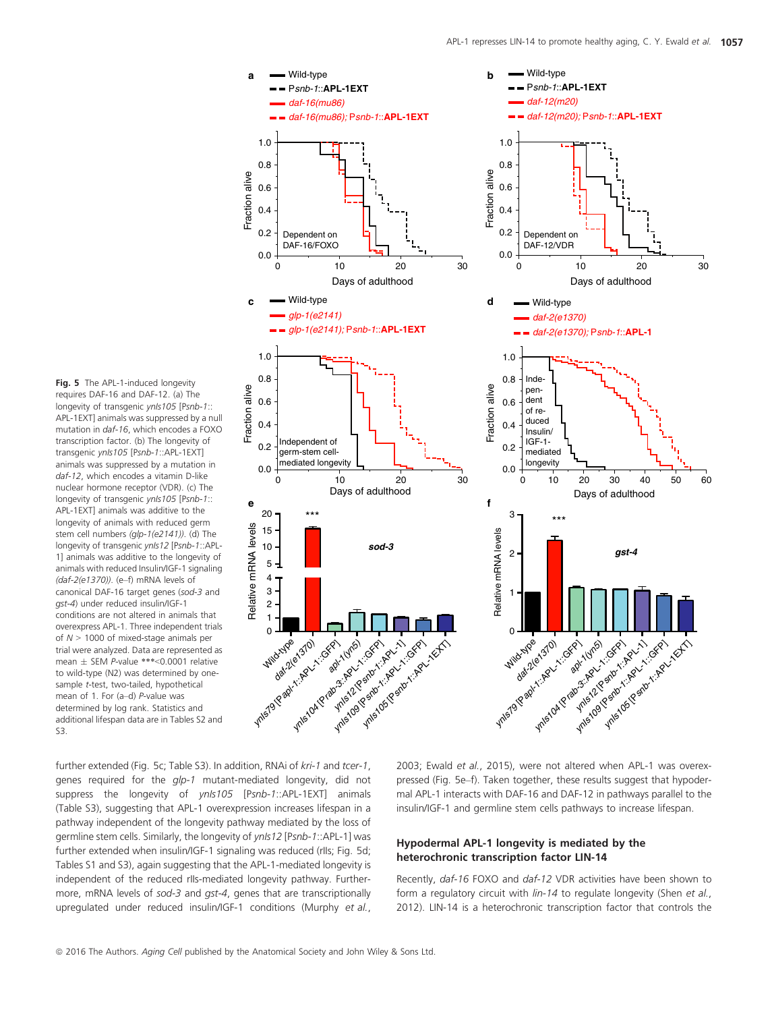Fig. 5 The APL-1-induced longevity requires DAF-16 and DAF-12. (a) The longevity of transgenic ynIs105 [Psnb-1:: APL-1EXT] animals was suppressed by a null mutation in daf-16, which encodes a FOXO transcription factor. (b) The longevity of transgenic ynIs105 [Psnb-1::APL-1EXT] animals was suppressed by a mutation in daf-12, which encodes a vitamin D-like nuclear hormone receptor (VDR). (c) The longevity of transgenic ynIs105 [Psnb-1:: APL-1EXT] animals was additive to the longevity of animals with reduced germ stem cell numbers (glp-1(e2141)). (d) The longevity of transgenic ynIs12 [Psnb-1::APL-1] animals was additive to the longevity of animals with reduced Insulin/IGF-1 signaling (daf-2(e1370)). (e–f) mRNA levels of canonical DAF-16 target genes (sod-3 and gst-4) under reduced insulin/IGF-1 conditions are not altered in animals that overexpress APL-1. Three independent trials of  $N > 1000$  of mixed-stage animals per trial were analyzed. Data are represented as mean  $\pm$  SEM P-value \*\*\*<0.0001 relative to wild-type (N2) was determined by onesample t-test, two-tailed, hypothetical mean of 1. For (a–d) P-value was determined by log rank. Statistics and additional lifespan data are in Tables S2 and S3.



further extended (Fig. 5c; Table S3). In addition, RNAi of kri-1 and tcer-1, genes required for the *qlp-1* mutant-mediated longevity, did not suppress the longevity of ynIs105 [Psnb-1::APL-1EXT] animals (Table S3), suggesting that APL-1 overexpression increases lifespan in a pathway independent of the longevity pathway mediated by the loss of germline stem cells. Similarly, the longevity of ynls12 [Psnb-1::APL-1] was further extended when insulin/IGF-1 signaling was reduced (rIIs; Fig. 5d; Tables S1 and S3), again suggesting that the APL-1-mediated longevity is independent of the reduced rIIs-mediated longevity pathway. Furthermore, mRNA levels of sod-3 and gst-4, genes that are transcriptionally upregulated under reduced insulin/IGF-1 conditions (Murphy et al.,

2003; Ewald et al., 2015), were not altered when APL-1 was overexpressed (Fig. 5e–f). Taken together, these results suggest that hypodermal APL-1 interacts with DAF-16 and DAF-12 in pathways parallel to the insulin/IGF-1 and germline stem cells pathways to increase lifespan.

#### Hypodermal APL-1 longevity is mediated by the heterochronic transcription factor LIN-14

Recently, daf-16 FOXO and daf-12 VDR activities have been shown to form a regulatory circuit with lin-14 to regulate longevity (Shen et al., 2012). LIN-14 is a heterochronic transcription factor that controls the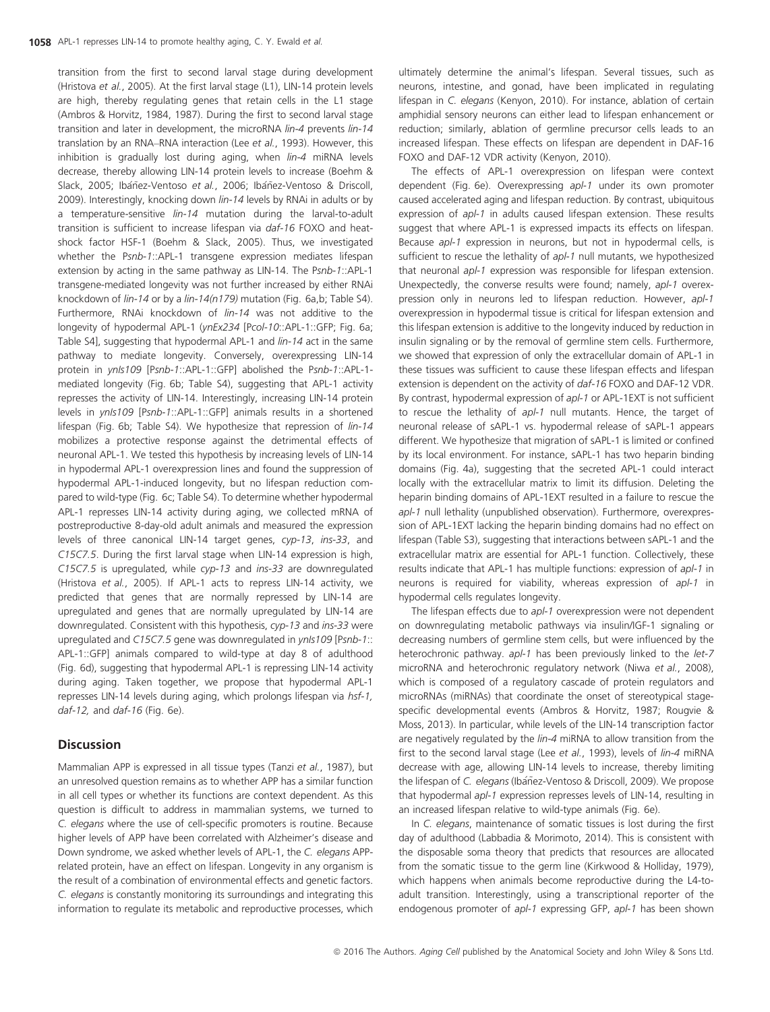transition from the first to second larval stage during development (Hristova et al., 2005). At the first larval stage (L1), LIN-14 protein levels are high, thereby regulating genes that retain cells in the L1 stage (Ambros & Horvitz, 1984, 1987). During the first to second larval stage transition and later in development, the microRNA lin-4 prevents lin-14 translation by an RNA–RNA interaction (Lee et al., 1993). However, this inhibition is gradually lost during aging, when *lin-4* miRNA levels decrease, thereby allowing LIN-14 protein levels to increase (Boehm & Slack, 2005; Ibáñez-Ventoso et al., 2006; Ibáñez-Ventoso & Driscoll, 2009). Interestingly, knocking down lin-14 levels by RNAi in adults or by a temperature-sensitive lin-14 mutation during the larval-to-adult transition is sufficient to increase lifespan via daf-16 FOXO and heatshock factor HSF-1 (Boehm & Slack, 2005). Thus, we investigated whether the Psnb-1::APL-1 transgene expression mediates lifespan extension by acting in the same pathway as LIN-14. The Psnb-1::APL-1 transgene-mediated longevity was not further increased by either RNAi knockdown of lin-14 or by a lin-14(n179) mutation (Fig. 6a,b; Table S4). Furthermore, RNAi knockdown of *lin-14* was not additive to the longevity of hypodermal APL-1 (ynEx234 [Pcol-10::APL-1::GFP; Fig. 6a; Table S4], suggesting that hypodermal APL-1 and  $lin-14$  act in the same pathway to mediate longevity. Conversely, overexpressing LIN-14 protein in ynIs109 [Psnb-1::APL-1::GFP] abolished the Psnb-1::APL-1mediated longevity (Fig. 6b; Table S4), suggesting that APL-1 activity represses the activity of LIN-14. Interestingly, increasing LIN-14 protein levels in ynIs109 [Psnb-1::APL-1::GFP] animals results in a shortened lifespan (Fig. 6b; Table S4). We hypothesize that repression of lin-14 mobilizes a protective response against the detrimental effects of neuronal APL-1. We tested this hypothesis by increasing levels of LIN-14 in hypodermal APL-1 overexpression lines and found the suppression of hypodermal APL-1-induced longevity, but no lifespan reduction compared to wild-type (Fig. 6c; Table S4). To determine whether hypodermal APL-1 represses LIN-14 activity during aging, we collected mRNA of postreproductive 8-day-old adult animals and measured the expression levels of three canonical LIN-14 target genes, cyp-13, ins-33, and C15C7.5. During the first larval stage when LIN-14 expression is high, C15C7.5 is upregulated, while cyp-13 and ins-33 are downregulated (Hristova et al., 2005). If APL-1 acts to repress LIN-14 activity, we predicted that genes that are normally repressed by LIN-14 are upregulated and genes that are normally upregulated by LIN-14 are downregulated. Consistent with this hypothesis, cyp-13 and ins-33 were upregulated and C15C7.5 gene was downregulated in ynIs109 [Psnb-1:: APL-1::GFP] animals compared to wild-type at day 8 of adulthood (Fig. 6d), suggesting that hypodermal APL-1 is repressing LIN-14 activity during aging. Taken together, we propose that hypodermal APL-1 represses LIN-14 levels during aging, which prolongs lifespan via hsf-1, daf-12, and daf-16 (Fig. 6e).

#### **Discussion**

Mammalian APP is expressed in all tissue types (Tanzi et al., 1987), but an unresolved question remains as to whether APP has a similar function in all cell types or whether its functions are context dependent. As this question is difficult to address in mammalian systems, we turned to C. elegans where the use of cell-specific promoters is routine. Because higher levels of APP have been correlated with Alzheimer's disease and Down syndrome, we asked whether levels of APL-1, the C. elegans APPrelated protein, have an effect on lifespan. Longevity in any organism is the result of a combination of environmental effects and genetic factors. C. elegans is constantly monitoring its surroundings and integrating this information to regulate its metabolic and reproductive processes, which ultimately determine the animal's lifespan. Several tissues, such as neurons, intestine, and gonad, have been implicated in regulating lifespan in C. elegans (Kenyon, 2010). For instance, ablation of certain amphidial sensory neurons can either lead to lifespan enhancement or reduction; similarly, ablation of germline precursor cells leads to an increased lifespan. These effects on lifespan are dependent in DAF-16 FOXO and DAF-12 VDR activity (Kenyon, 2010).

The effects of APL-1 overexpression on lifespan were context dependent (Fig. 6e). Overexpressing apl-1 under its own promoter caused accelerated aging and lifespan reduction. By contrast, ubiquitous expression of apl-1 in adults caused lifespan extension. These results suggest that where APL-1 is expressed impacts its effects on lifespan. Because apl-1 expression in neurons, but not in hypodermal cells, is sufficient to rescue the lethality of apl-1 null mutants, we hypothesized that neuronal apl-1 expression was responsible for lifespan extension. Unexpectedly, the converse results were found; namely, apl-1 overexpression only in neurons led to lifespan reduction. However, apl-1 overexpression in hypodermal tissue is critical for lifespan extension and this lifespan extension is additive to the longevity induced by reduction in insulin signaling or by the removal of germline stem cells. Furthermore, we showed that expression of only the extracellular domain of APL-1 in these tissues was sufficient to cause these lifespan effects and lifespan extension is dependent on the activity of daf-16 FOXO and DAF-12 VDR. By contrast, hypodermal expression of apl-1 or APL-1EXT is not sufficient to rescue the lethality of apl-1 null mutants. Hence, the target of neuronal release of sAPL-1 vs. hypodermal release of sAPL-1 appears different. We hypothesize that migration of sAPL-1 is limited or confined by its local environment. For instance, sAPL-1 has two heparin binding domains (Fig. 4a), suggesting that the secreted APL-1 could interact locally with the extracellular matrix to limit its diffusion. Deleting the heparin binding domains of APL-1EXT resulted in a failure to rescue the apl-1 null lethality (unpublished observation). Furthermore, overexpression of APL-1EXT lacking the heparin binding domains had no effect on lifespan (Table S3), suggesting that interactions between sAPL-1 and the extracellular matrix are essential for APL-1 function. Collectively, these results indicate that APL-1 has multiple functions: expression of apl-1 in neurons is required for viability, whereas expression of apl-1 in hypodermal cells regulates longevity.

The lifespan effects due to apl-1 overexpression were not dependent on downregulating metabolic pathways via insulin/IGF-1 signaling or decreasing numbers of germline stem cells, but were influenced by the heterochronic pathway. apl-1 has been previously linked to the let-7 microRNA and heterochronic regulatory network (Niwa et al., 2008), which is composed of a regulatory cascade of protein regulators and microRNAs (miRNAs) that coordinate the onset of stereotypical stagespecific developmental events (Ambros & Horvitz, 1987; Rougvie & Moss, 2013). In particular, while levels of the LIN-14 transcription factor are negatively regulated by the *lin-4* miRNA to allow transition from the first to the second larval stage (Lee et al., 1993), levels of lin-4 miRNA decrease with age, allowing LIN-14 levels to increase, thereby limiting the lifespan of C. elegans (Ibáñez-Ventoso & Driscoll, 2009). We propose that hypodermal apl-1 expression represses levels of LIN-14, resulting in an increased lifespan relative to wild-type animals (Fig. 6e).

In C. elegans, maintenance of somatic tissues is lost during the first day of adulthood (Labbadia & Morimoto, 2014). This is consistent with the disposable soma theory that predicts that resources are allocated from the somatic tissue to the germ line (Kirkwood & Holliday, 1979), which happens when animals become reproductive during the L4-toadult transition. Interestingly, using a transcriptional reporter of the endogenous promoter of apl-1 expressing GFP, apl-1 has been shown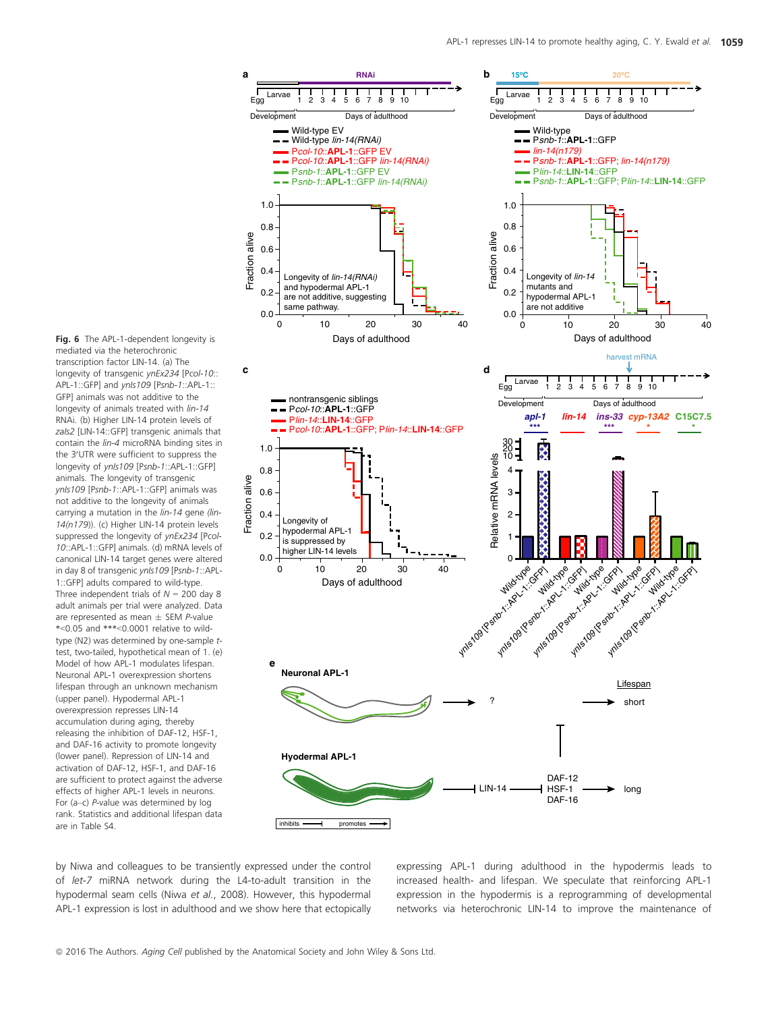Fig. 6 The APL-1-dependent longevity is mediated via the heterochronic transcription factor LIN-14. (a) The longevity of transgenic ynEx234 [Pcol-10:: APL-1::GFP] and vnls109 [Psnb-1::APL-1:: GFP] animals was not additive to the longevity of animals treated with lin-14 RNAi. (b) Higher LIN-14 protein levels of zals2 [LIN-14::GFP] transgenic animals that contain the lin-4 microRNA binding sites in the 3'UTR were sufficient to suppress the longevity of ynIs109 [Psnb-1::APL-1::GFP] animals. The longevity of transgenic ynIs109 [Psnb-1::APL-1::GFP] animals was not additive to the longevity of animals carrying a mutation in the lin-14 gene (lin-14(n179)). (c) Higher LIN-14 protein levels suppressed the longevity of ynEx234 [Pcol-10::APL-1::GFP] animals. (d) mRNA levels of canonical LIN-14 target genes were altered in day 8 of transgenic ynIs109 [Psnb-1::APL-1::GFP] adults compared to wild-type. Three independent trials of  $N = 200$  day 8 adult animals per trial were analyzed. Data are represented as mean  $\pm$  SEM P-value \*<0.05 and \*\*\*<0.0001 relative to wildtype (N2) was determined by one-sample ttest, two-tailed, hypothetical mean of 1. (e) Model of how APL-1 modulates lifespan. Neuronal APL-1 overexpression shortens lifespan through an unknown mechanism (upper panel). Hypodermal APL-1 overexpression represses LIN-14 accumulation during aging, thereby releasing the inhibition of DAF-12, HSF-1, and DAF-16 activity to promote longevity (lower panel). Repression of LIN-14 and activation of DAF-12, HSF-1, and DAF-16 are sufficient to protect against the adverse effects of higher APL-1 levels in neurons. For (a–c) P-value was determined by log rank. Statistics and additional lifespan data are in Table S4.



by Niwa and colleagues to be transiently expressed under the control of let-7 miRNA network during the L4-to-adult transition in the hypodermal seam cells (Niwa et al., 2008). However, this hypodermal APL-1 expression is lost in adulthood and we show here that ectopically expressing APL-1 during adulthood in the hypodermis leads to increased health- and lifespan. We speculate that reinforcing APL-1 expression in the hypodermis is a reprogramming of developmental networks via heterochronic LIN-14 to improve the maintenance of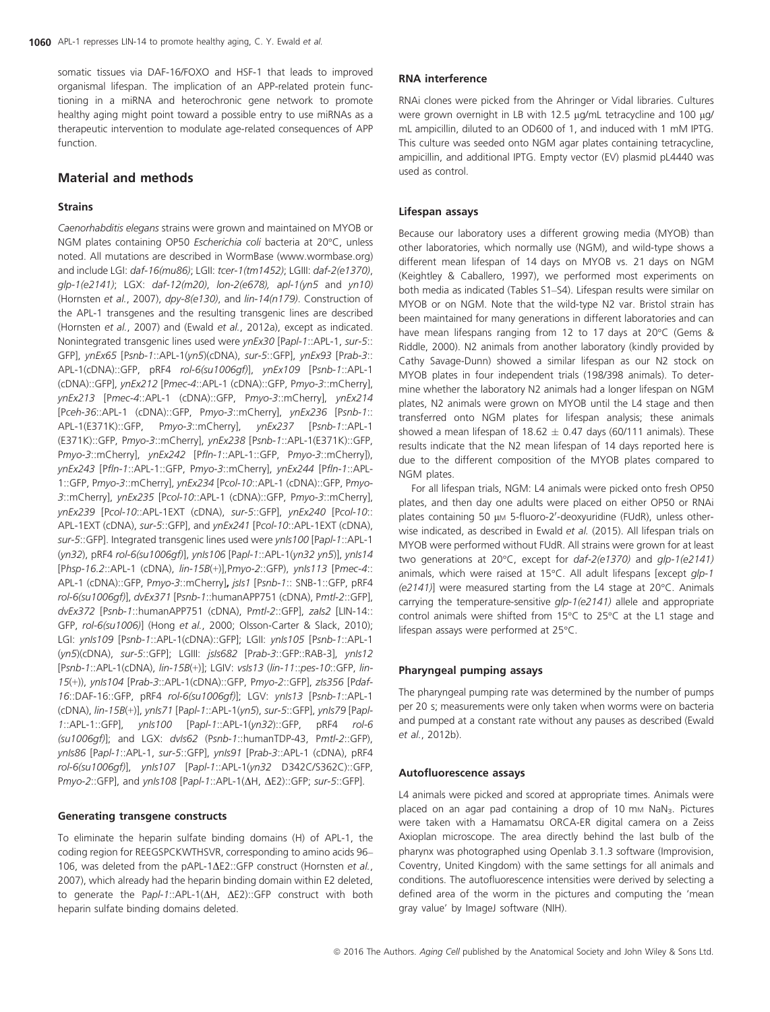somatic tissues via DAF-16/FOXO and HSF-1 that leads to improved organismal lifespan. The implication of an APP-related protein functioning in a miRNA and heterochronic gene network to promote healthy aging might point toward a possible entry to use miRNAs as a therapeutic intervention to modulate age-related consequences of APP function.

#### Material and methods

#### Strains

Caenorhabditis elegans strains were grown and maintained on MYOB or NGM plates containing OP50 Escherichia coli bacteria at 20°C, unless noted. All mutations are described in WormBase ([www.wormbase.org](http://www.wormbase.org)) and include LGI: daf-16(mu86); LGII: tcer-1(tm1452); LGIII: daf-2(e1370), glp-1(e2141); LGX: daf-12(m20), lon-2(e678), apl-1(yn5 and yn10) (Hornsten et al., 2007), dpy-8(e130), and lin-14(n179). Construction of the APL-1 transgenes and the resulting transgenic lines are described (Hornsten et al., 2007) and (Ewald et al., 2012a), except as indicated. Nonintegrated transgenic lines used were ynEx30 [Papl-1::APL-1, sur-5:: GFP], ynEx65 [Psnb-1::APL-1(yn5)(cDNA), sur-5::GFP], ynEx93 [Prab-3:: APL-1(cDNA)::GFP, pRF4 rol-6(su1006gf)], ynEx109 [Psnb-1::APL-1 (cDNA)::GFP], ynEx212 [Pmec-4::APL-1 (cDNA)::GFP, Pmyo-3::mCherry], ynEx213 [Pmec-4::APL-1 (cDNA)::GFP, Pmyo-3::mCherry], ynEx214 [Pceh-36::APL-1 (cDNA)::GFP, Pmyo-3::mCherry], ynEx236 [Psnb-1:: APL-1(E371K)::GFP, Pmyo-3::mCherry], ynEx237 [Psnb-1::APL-1 (E371K)::GFP, Pmyo-3::mCherry], ynEx238 [Psnb-1::APL-1(E371K)::GFP, Pmyo-3::mCherry], ynEx242 [Pfln-1::APL-1::GFP, Pmyo-3::mCherry]), ynEx243 [Pfln-1::APL-1::GFP, Pmyo-3::mCherry], ynEx244 [Pfln-1::APL-1::GFP, Pmyo-3::mCherry], ynEx234 [Pcol-10::APL-1 (cDNA)::GFP, Pmyo-3::mCherry], ynEx235 [Pcol-10::APL-1 (cDNA)::GFP, Pmyo-3::mCherry], ynEx239 [Pcol-10::APL-1EXT (cDNA), sur-5::GFP], ynEx240 [Pcol-10:: APL-1EXT (cDNA), sur-5::GFP], and ynEx241 [Pcol-10::APL-1EXT (cDNA), sur-5::GFP]. Integrated transgenic lines used were ynIs100 [Papl-1::APL-1 (yn32), pRF4 rol-6(su1006gf)], ynIs106 [Papl-1::APL-1(yn32 yn5)], ynIs14 [Phsp-16.2::APL-1 (cDNA), lin-15B(+)],Pmyo-2::GFP), ynIs113 [Pmec-4:: APL-1 (cDNA)::GFP, Pmyo-3::mCherry], jsIs1 [Psnb-1:: SNB-1::GFP, pRF4 rol-6(su1006gf)], dvEx371 [Psnb-1::humanAPP751 (cDNA), Pmtl-2::GFP], dvEx372 [Psnb-1::humanAPP751 (cDNA), Pmtl-2::GFP], zaIs2 [LIN-14:: GFP, rol-6(su1006)] (Hong et al., 2000; Olsson-Carter & Slack, 2010); LGI: ynIs109 [Psnb-1::APL-1(cDNA)::GFP]; LGII: ynIs105 [Psnb-1::APL-1 (yn5)(cDNA), sur-5::GFP]; LGIII: jsIs682 [Prab-3::GFP::RAB-3], ynIs12 [Psnb-1::APL-1(cDNA), lin-15B(+)]; LGIV: vsIs13 (lin-11::pes-10::GFP, lin-15(+)), ynIs104 [Prab-3::APL-1(cDNA)::GFP, Pmyo-2::GFP], zIs356 [Pdaf-16::DAF-16::GFP, pRF4 rol-6(su1006gf)]; LGV: ynIs13 [Psnb-1::APL-1 (cDNA), lin-15B(+)], ynIs71 [Papl-1::APL-1(yn5), sur-5::GFP], ynIs79 [Papl-1::APL-1::GFP], ynIs100 [Papl-1::APL-1(yn32)::GFP, pRF4 rol-6 (su1006gf)]; and LGX: dvIs62 (Psnb-1::humanTDP-43, Pmtl-2::GFP), ynIs86 [Papl-1::APL-1, sur-5::GFP], ynIs91 [Prab-3::APL-1 (cDNA), pRF4 rol-6(su1006gf)], ynIs107 [Papl-1::APL-1(yn32 D342C/S362C)::GFP, Pmyo-2::GFP], and ynIs108 [Papl-1::APL-1( $\Delta H$ ,  $\Delta$ E2)::GFP; sur-5::GFP].

#### Generating transgene constructs

To eliminate the heparin sulfate binding domains (H) of APL-1, the coding region for REEGSPCKWTHSVR, corresponding to amino acids 96– 106, was deleted from the pAPL-1 $\Delta$ E2::GFP construct (Hornsten et al., 2007), which already had the heparin binding domain within E2 deleted, to generate the Papl-1::APL-1( $\Delta H$ ,  $\Delta E2$ )::GFP construct with both heparin sulfate binding domains deleted.

#### RNA interference

RNAi clones were picked from the Ahringer or Vidal libraries. Cultures were grown overnight in LB with 12.5  $\mu$ g/mL tetracycline and 100  $\mu$ g/ mL ampicillin, diluted to an OD600 of 1, and induced with 1 mM IPTG. This culture was seeded onto NGM agar plates containing tetracycline, ampicillin, and additional IPTG. Empty vector (EV) plasmid pL4440 was used as control.

#### Lifespan assays

Because our laboratory uses a different growing media (MYOB) than other laboratories, which normally use (NGM), and wild-type shows a different mean lifespan of 14 days on MYOB vs. 21 days on NGM (Keightley & Caballero, 1997), we performed most experiments on both media as indicated (Tables S1–S4). Lifespan results were similar on MYOB or on NGM. Note that the wild-type N2 var. Bristol strain has been maintained for many generations in different laboratories and can have mean lifespans ranging from 12 to 17 days at 20°C (Gems & Riddle, 2000). N2 animals from another laboratory (kindly provided by Cathy Savage-Dunn) showed a similar lifespan as our N2 stock on MYOB plates in four independent trials (198/398 animals). To determine whether the laboratory N2 animals had a longer lifespan on NGM plates, N2 animals were grown on MYOB until the L4 stage and then transferred onto NGM plates for lifespan analysis; these animals showed a mean lifespan of 18.62  $\pm$  0.47 days (60/111 animals). These results indicate that the N2 mean lifespan of 14 days reported here is due to the different composition of the MYOB plates compared to NGM plates.

For all lifespan trials, NGM: L4 animals were picked onto fresh OP50 plates, and then day one adults were placed on either OP50 or RNAi plates containing 50 μm 5-fluoro-2'-deoxyuridine (FUdR), unless otherwise indicated, as described in Ewald et al. (2015). All lifespan trials on MYOB were performed without FUdR. All strains were grown for at least two generations at 20°C, except for daf-2(e1370) and glp-1(e2141) animals, which were raised at 15°C. All adult lifespans [except qlp-1 (e2141)] were measured starting from the L4 stage at 20°C. Animals carrying the temperature-sensitive glp-1(e2141) allele and appropriate control animals were shifted from 15°C to 25°C at the L1 stage and lifespan assays were performed at 25°C.

#### Pharyngeal pumping assays

The pharyngeal pumping rate was determined by the number of pumps per 20 s; measurements were only taken when worms were on bacteria and pumped at a constant rate without any pauses as described (Ewald et al., 2012b).

#### Autofluorescence assays

L4 animals were picked and scored at appropriate times. Animals were placed on an agar pad containing a drop of 10 mm NaN<sub>3</sub>. Pictures were taken with a Hamamatsu ORCA-ER digital camera on a Zeiss Axioplan microscope. The area directly behind the last bulb of the pharynx was photographed using Openlab 3.1.3 software (Improvision, Coventry, United Kingdom) with the same settings for all animals and conditions. The autofluorescence intensities were derived by selecting a defined area of the worm in the pictures and computing the 'mean gray value' by ImageJ software (NIH).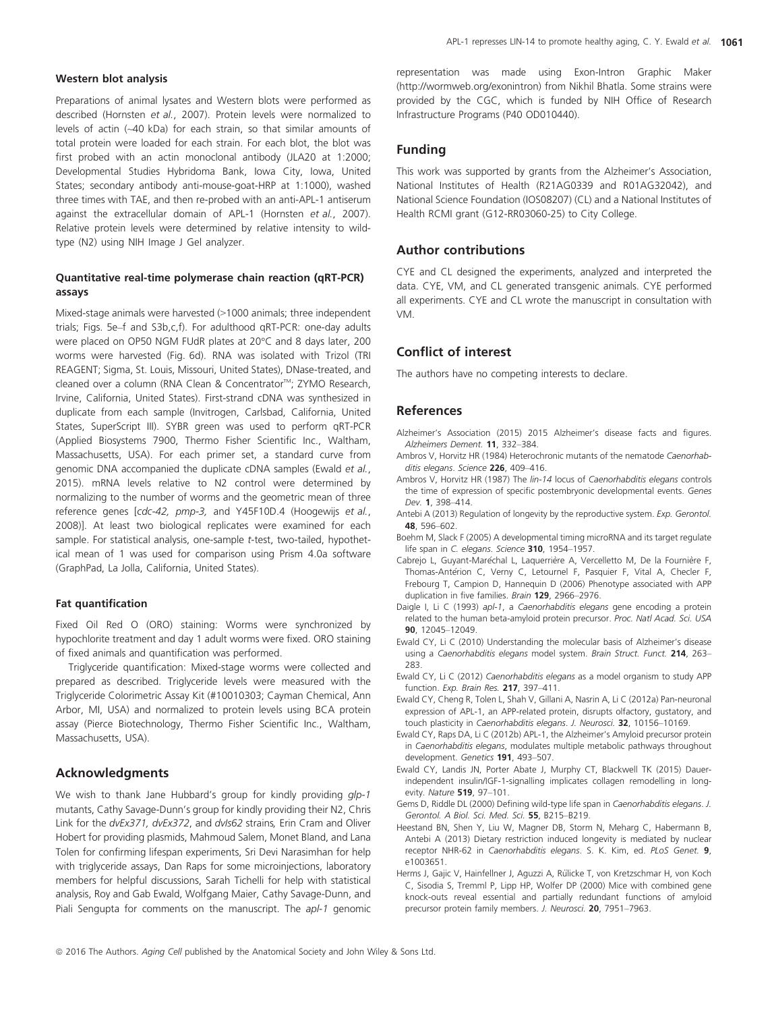#### Western blot analysis

Preparations of animal lysates and Western blots were performed as described (Hornsten et al., 2007). Protein levels were normalized to levels of actin (~40 kDa) for each strain, so that similar amounts of total protein were loaded for each strain. For each blot, the blot was first probed with an actin monoclonal antibody (JLA20 at 1:2000; Developmental Studies Hybridoma Bank, Iowa City, Iowa, United States; secondary antibody anti-mouse-goat-HRP at 1:1000), washed three times with TAE, and then re-probed with an anti-APL-1 antiserum against the extracellular domain of APL-1 (Hornsten et al., 2007). Relative protein levels were determined by relative intensity to wildtype (N2) using NIH Image J Gel analyzer.

#### Quantitative real-time polymerase chain reaction (qRT-PCR) assays

Mixed-stage animals were harvested (>1000 animals; three independent trials; Figs. 5e–f and S3b,c,f). For adulthood qRT-PCR: one-day adults were placed on OP50 NGM FUdR plates at 20°C and 8 days later, 200 worms were harvested (Fig. 6d). RNA was isolated with Trizol (TRI REAGENT; Sigma, St. Louis, Missouri, United States), DNase-treated, and cleaned over a column (RNA Clean & Concentrator™; ZYMO Research, Irvine, California, United States). First-strand cDNA was synthesized in duplicate from each sample (Invitrogen, Carlsbad, California, United States, SuperScript III). SYBR green was used to perform qRT-PCR (Applied Biosystems 7900, Thermo Fisher Scientific Inc., Waltham, Massachusetts, USA). For each primer set, a standard curve from genomic DNA accompanied the duplicate cDNA samples (Ewald et al., 2015). mRNA levels relative to N2 control were determined by normalizing to the number of worms and the geometric mean of three reference genes [cdc-42, pmp-3, and Y45F10D.4 (Hoogewijs et al., 2008)]. At least two biological replicates were examined for each sample. For statistical analysis, one-sample t-test, two-tailed, hypothetical mean of 1 was used for comparison using Prism 4.0a software (GraphPad, La Jolla, California, United States).

#### Fat quantification

Fixed Oil Red O (ORO) staining: Worms were synchronized by hypochlorite treatment and day 1 adult worms were fixed. ORO staining of fixed animals and quantification was performed.

Triglyceride quantification: Mixed-stage worms were collected and prepared as described. Triglyceride levels were measured with the Triglyceride Colorimetric Assay Kit (#10010303; Cayman Chemical, Ann Arbor, MI, USA) and normalized to protein levels using BCA protein assay (Pierce Biotechnology, Thermo Fisher Scientific Inc., Waltham, Massachusetts, USA).

#### Acknowledgments

We wish to thank Jane Hubbard's group for kindly providing glp-1 mutants, Cathy Savage-Dunn's group for kindly providing their N2, Chris Link for the dvEx371, dvEx372, and dvIs62 strains, Erin Cram and Oliver Hobert for providing plasmids, Mahmoud Salem, Monet Bland, and Lana Tolen for confirming lifespan experiments, Sri Devi Narasimhan for help with triglyceride assays, Dan Raps for some microinjections, laboratory members for helpful discussions, Sarah Tichelli for help with statistical analysis, Roy and Gab Ewald, Wolfgang Maier, Cathy Savage-Dunn, and Piali Sengupta for comments on the manuscript. The apl-1 genomic

representation was made using Exon-Intron Graphic Maker ([http://wormweb.org/exonintron\)](http://wormweb.org/exonintron) from Nikhil Bhatla. Some strains were provided by the CGC, which is funded by NIH Office of Research Infrastructure Programs (P40 OD010440).

#### Funding

This work was supported by grants from the Alzheimer's Association, National Institutes of Health (R21AG0339 and R01AG32042), and National Science Foundation (IOS08207) (CL) and a National Institutes of Health RCMI grant (G12-RR03060-25) to City College.

#### Author contributions

CYE and CL designed the experiments, analyzed and interpreted the data. CYE, VM, and CL generated transgenic animals. CYE performed all experiments. CYE and CL wrote the manuscript in consultation with VM.

#### Conflict of interest

The authors have no competing interests to declare.

#### References

- Alzheimer's Association (2015) 2015 Alzheimer's disease facts and figures. Alzheimers Dement. 11, 332–384.
- Ambros V, Horvitz HR (1984) Heterochronic mutants of the nematode Caenorhabditis elegans. Science 226, 409-416.
- Ambros V, Horvitz HR (1987) The lin-14 locus of Caenorhabditis elegans controls the time of expression of specific postembryonic developmental events. Genes Dev. 1, 398–414.
- Antebi A (2013) Regulation of longevity by the reproductive system. Exp. Gerontol. 48, 596–602.
- Boehm M, Slack F (2005) A developmental timing microRNA and its target regulate life span in C. elegans. Science 310, 1954-1957.
- Cabrejo L, Guyant-Maréchal L, Laquerrière A, Vercelletto M, De la Fournière F, Thomas-Antérion C, Verny C, Letournel F, Pasquier F, Vital A, Checler F, Frebourg T, Campion D, Hannequin D (2006) Phenotype associated with APP duplication in five families. Brain 129, 2966-2976.
- Daigle I, Li C (1993) apl-1, a Caenorhabditis elegans gene encoding a protein related to the human beta-amyloid protein precursor. Proc. Natl Acad. Sci. USA 90, 12045–12049.
- Ewald CY, Li C (2010) Understanding the molecular basis of Alzheimer's disease using a Caenorhabditis elegans model system. Brain Struct. Funct. 214, 263-283.
- Ewald CY, Li C (2012) Caenorhabditis elegans as a model organism to study APP function. Exp. Brain Res. 217, 397–411.
- Ewald CY, Cheng R, Tolen L, Shah V, Gillani A, Nasrin A, Li C (2012a) Pan-neuronal expression of APL-1, an APP-related protein, disrupts olfactory, gustatory, and touch plasticity in Caenorhabditis elegans. J. Neurosci. 32, 10156-10169.
- Ewald CY, Raps DA, Li C (2012b) APL-1, the Alzheimer's Amyloid precursor protein in Caenorhabditis elegans, modulates multiple metabolic pathways throughout development. Genetics 191, 493–507.
- Ewald CY, Landis JN, Porter Abate J, Murphy CT, Blackwell TK (2015) Dauerindependent insulin/IGF-1-signalling implicates collagen remodelling in longevity. Nature 519, 97–101.
- Gems D, Riddle DL (2000) Defining wild-type life span in Caenorhabditis elegans. J. Gerontol. A Biol. Sci. Med. Sci. 55, B215–B219.
- Heestand BN, Shen Y, Liu W, Magner DB, Storm N, Meharg C, Habermann B, Antebi A (2013) Dietary restriction induced longevity is mediated by nuclear receptor NHR-62 in Caenorhabditis elegans. S. K. Kim, ed. PLoS Genet. 9, e1003651.
- Herms J, Gajic V, Hainfellner J, Aguzzi A, Rülicke T, von Kretzschmar H, von Koch C, Sisodia S, Tremml P, Lipp HP, Wolfer DP (2000) Mice with combined gene knock-outs reveal essential and partially redundant functions of amyloid precursor protein family members. J. Neurosci. 20, 7951-7963.